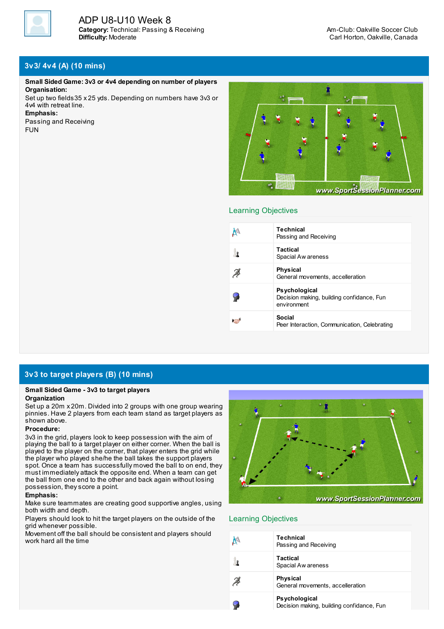

## **3v3/ 4v4 (A) (10 mins)**

**Small Sided Game: 3v3 or 4v4 depending on number of players Organisation:**

Set up two fields35 x 25 yds. Depending on numbers have 3v3 or 4v4 with retreat line.

**Emphasis:**

Passing and Receiving FUN



### Learning Objectives

| Technical<br>Passing and Receiving                                               |
|----------------------------------------------------------------------------------|
| Tactical<br>Spacial Aw areness                                                   |
| <b>Physical</b><br>General movements, accelleration                              |
| <b>Psychological</b><br>Decision making, building confidance, Fun<br>environment |
| Social<br>Peer Interaction, Communication, Celebrating                           |

## **3v3 to target players (B) (10 mins)**

#### **Small Sided Game - 3v3 to target players Organization**

Set up a 20m x 20m. Divided into 2 groups with one group wearing pinnies. Have 2 players from each team stand as target players as shown above.

#### **Procedure:**

3v3 in the grid, players look to keep possession with the aim of playing the ball to a target player on either corner. When the ball is played to the player on the corner, that player enters the grid while the player who played she/he the ball takes the support players spot. Once a team has successfully moved the ball to on end, they must immediately attack the opposite end. When a team can get the ball from one end to the other and back again without losing possession, theyscore a point.

#### **Emphasis:**

Make sure teammates are creating good supportive angles, using both width and depth.

Players should look to hit the target players on the outside of the grid whenever possible.

Movement off the ball should be consistent and players should work hard all the time



## Learning Objectives

| <b>Technical</b><br>Passing and Receiving                         |
|-------------------------------------------------------------------|
| Tactical<br>Spacial Aw areness                                    |
| <b>Physical</b><br>General movements, accelleration               |
| <b>Psychological</b><br>Decision making, building confidance, Fun |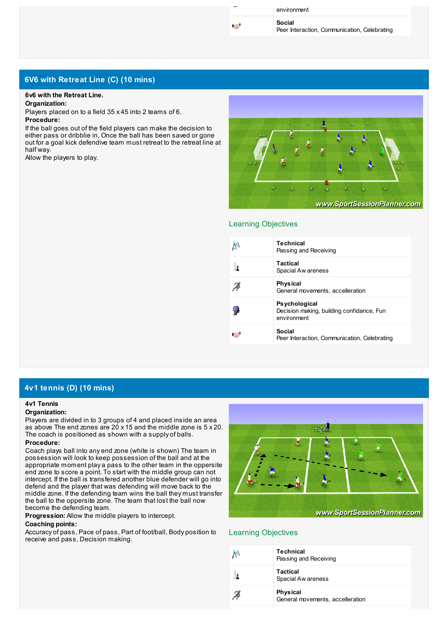|                         | environment                                            |  |
|-------------------------|--------------------------------------------------------|--|
| <b>Cardinal Company</b> | Social<br>Peer Interaction, Communication, Celebrating |  |

# **6V6 with Retreat Line (C) (10 mins)**

#### **6v6 with the Retreat Line.**

**Organization:**

Players placed on to a field 35 x 45 into 2 teams of 6. **Procedure:**

If the ball goes out of the field players can make the decision to either pass or dribblie in, Once the ball has been saved or gone out for a goal kick defendive team must retreat to the retreat line at half way.

Allow the players to play.



#### Learning Objectives

| Technical<br>Passing and Receiving                                        |
|---------------------------------------------------------------------------|
| <b>Tactical</b><br>Spacial Aw areness                                     |
| <b>Physical</b><br>General movements, accelleration                       |
| Psychological<br>Decision making, building confidance, Fun<br>environment |
| Social<br>Peer Interaction, Communication, Celebrating                    |

## **4v1 tennis (D) (10 mins)**

#### **4v1 Tennis**

#### **Organization:**

Players are divided in to 3 groups of 4 and placed inside an area as above The end zones are 20 x 15 and the middle zone is 5 x 20. The coach is positioned as shown with a supply of balls. **Procedure:**

Coach plays ball into any end zone (white is shown) The team in possession will look to keep possession of the ball and at the appropriate moment play a pass to the other team in the oppersite end zone to score a point. To start with the middle group can not intercept. If the ball is transfered another blue defender will go into defend and the player that was defending will move back to the middle zone. If the defending team wins the ball they must transfer the ball to the oppersite zone. The team that lost the ball now become the defending team.

**Progression:** Allow the middle players to intercept.

### **Coaching points:**

Accuracy of pass, Pace of pass, Part of foot/ball, Body position to receive and pass, Decision making.



### Learning Objectives

| <b>Technical</b><br>Passing and Receiving           |
|-----------------------------------------------------|
| <b>Tactical</b><br>Spacial Aw areness               |
| <b>Physical</b><br>General movements, accelleration |